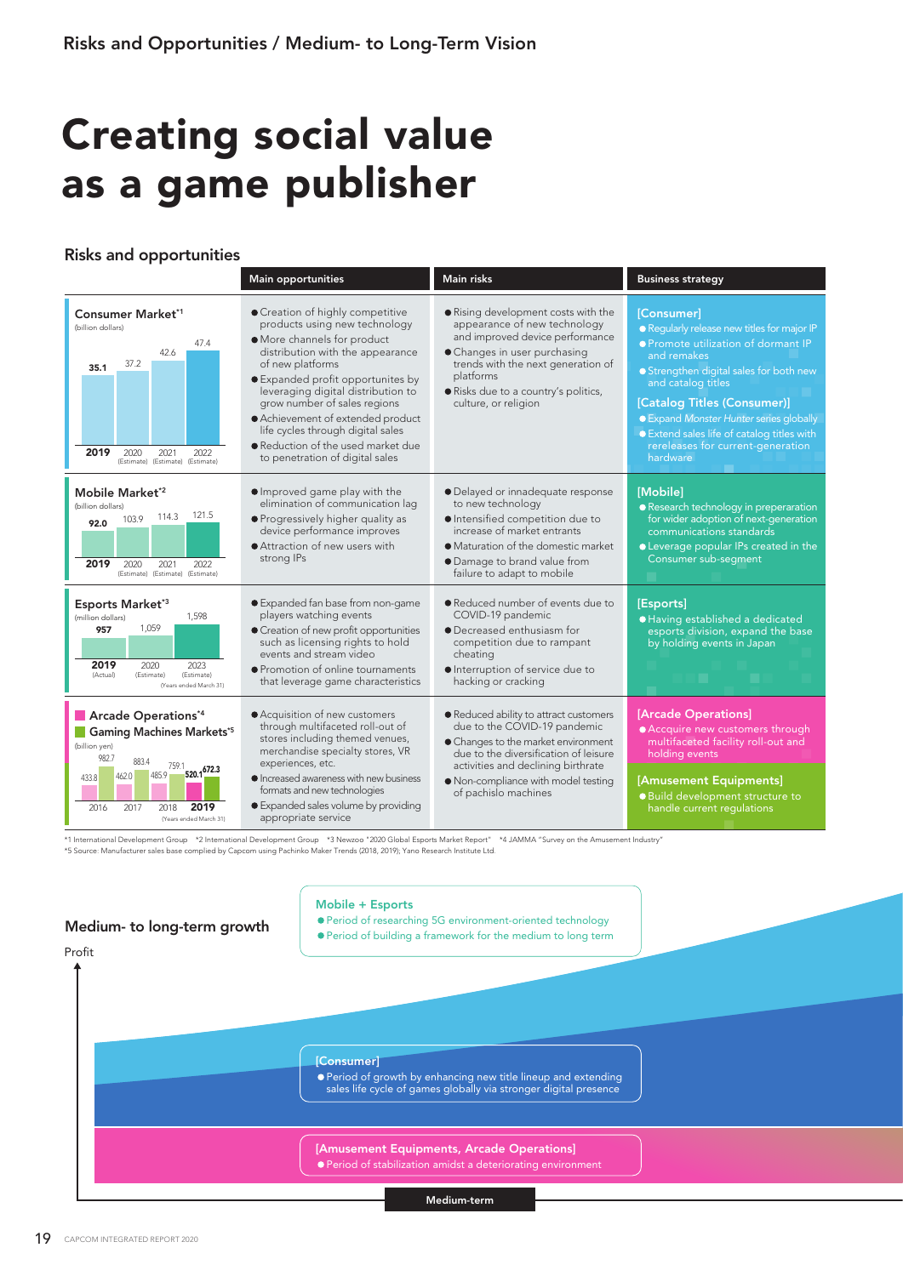## Creating social value as a game publisher

## Risks and opportunities

|                                                                                                                                                                                                                | <b>Main opportunities</b>                                                                                                                                                                                                                                                                                                                                                                                            | <b>Main risks</b>                                                                                                                                                                                                                                           | <b>Business strategy</b>                                                                                                                                                                                                                                                                                                                                                |
|----------------------------------------------------------------------------------------------------------------------------------------------------------------------------------------------------------------|----------------------------------------------------------------------------------------------------------------------------------------------------------------------------------------------------------------------------------------------------------------------------------------------------------------------------------------------------------------------------------------------------------------------|-------------------------------------------------------------------------------------------------------------------------------------------------------------------------------------------------------------------------------------------------------------|-------------------------------------------------------------------------------------------------------------------------------------------------------------------------------------------------------------------------------------------------------------------------------------------------------------------------------------------------------------------------|
| Consumer Market*1<br>(billion dollars)<br>47.4<br>42.6<br>37.2<br>35.1<br>2019<br>2020<br>2021<br>2022<br>(Estimate) (Estimate) (Estimate)                                                                     | Creation of highly competitive<br>products using new technology<br>· More channels for product<br>distribution with the appearance<br>of new platforms<br>● Expanded profit opportunites by<br>leveraging digital distribution to<br>grow number of sales regions<br>• Achievement of extended product<br>life cycles through digital sales<br>• Reduction of the used market due<br>to penetration of digital sales | • Rising development costs with the<br>appearance of new technology<br>and improved device performance<br>• Changes in user purchasing<br>trends with the next generation of<br>platforms<br>· Risks due to a country's politics,<br>culture, or religion   | <b>[Consumer]</b><br>· Regularly release new titles for major IP<br>● Promote utilization of dormant IP<br>and remakes<br>• Strengthen digital sales for both new<br>and catalog titles<br>[Catalog Titles (Consumer)]<br><b>• Expand Monster Hunter series globally</b><br>● Extend sales life of catalog titles with<br>rereleases for current-generation<br>hardware |
| Mobile Market <sup>*2</sup><br>(billion dollars)<br>121.5<br>114.3<br>103.9<br>92.0<br>2019<br>2020<br>2021<br>2022<br>(Estimate) (Estimate) (Estimate)                                                        | ● Improved game play with the<br>elimination of communication lag<br>· Progressively higher quality as<br>device performance improves<br>Attraction of new users with<br>strong IPs                                                                                                                                                                                                                                  | · Delayed or innadequate response<br>to new technology<br>· Intensified competition due to<br>increase of market entrants<br>• Maturation of the domestic market<br>• Damage to brand value from<br>failure to adapt to mobile                              | [Mobile]<br>• Research technology in preperaration<br>for wider adoption of next-generation<br>communications standards<br><b>C</b> Leverage popular IPs created in the<br>Consumer sub-segment                                                                                                                                                                         |
| Esports Market*3<br>1,598<br>(million dollars)<br>1,059<br>957<br>2019<br>2020<br>2023<br>(Actual)<br>(Estimate)<br>(Estimate)<br>(Years ended March 31)                                                       | ● Expanded fan base from non-game<br>players watching events<br>• Creation of new profit opportunities<br>such as licensing rights to hold<br>events and stream video<br>• Promotion of online tournaments<br>that leverage game characteristics                                                                                                                                                                     | • Reduced number of events due to<br>COVID-19 pandemic<br>• Decreased enthusiasm for<br>competition due to rampant<br>cheating<br>Interruption of service due to<br>hacking or cracking                                                                     | [Esports]<br>· Having established a dedicated<br>esports division, expand the base<br>by holding events in Japan                                                                                                                                                                                                                                                        |
| Arcade Operations*4<br><b>Gaming Machines Markets*5</b><br>(billion yen)<br>982.7<br>883.4<br>$\frac{759.1}{520.1}$ 520.1<br>485.9<br>462.0<br>433.8<br>2019<br>2016<br>2017<br>2018<br>(Years ended March 31) | • Acquisition of new customers<br>through multifaceted roll-out of<br>stores including themed venues,<br>merchandise specialty stores, VR<br>experiences, etc.<br>• Increased awareness with new business<br>formats and new technologies<br>• Expanded sales volume by providing<br>appropriate service                                                                                                             | • Reduced ability to attract customers<br>due to the COVID-19 pandemic<br>• Changes to the market environment<br>due to the diversification of leisure<br>activities and declining birthrate<br>• Non-compliance with model testing<br>of pachislo machines | [Arcade Operations]<br>• Accquire new customers through<br>multifaceted facility roll-out and<br>holding events<br>[Amusement Equipments]<br>· Build development structure to<br>handle current regulations                                                                                                                                                             |

\*1 International Development Group \*2 International Development Group \*3 Newzoo "2020 Global Esports Market Report" \*4 JAMMA "Survey on the Amusement Industry"<br>\*5 Source: Manufacturer sales base complied by Capcom using Pa